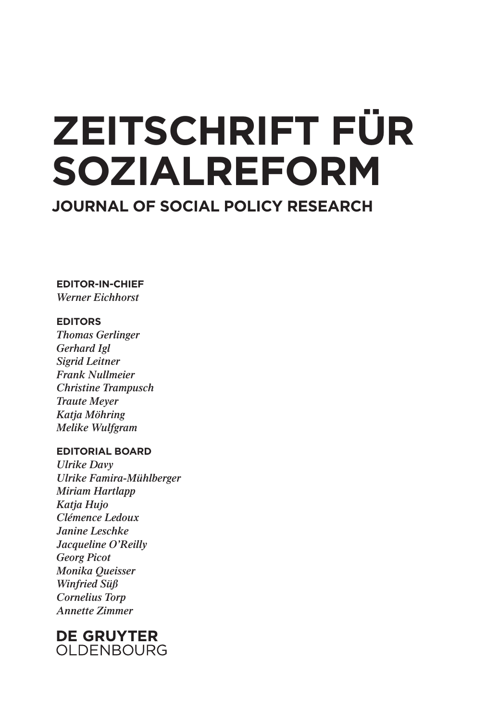# **ZEITSCHRIFT FÜR SOZIALREFORM**

**JOURNAL OF SOCIAL POLICY RESEARCH**

**EDITOR-IN-CHIEF** *Werner Eichhorst*

#### **EDITORS**

*Thomas Gerlinger Gerhard Igl Sigrid Leitner Frank Nullmeier Christine Trampusch Traute Meyer Katja Möhring Melike Wulfgram*

#### **EDITORIAL BOARD**

*Ulrike Davy Ulrike Famira-Mühlberger Miriam Hartlapp Katja Hujo Clémence Ledoux Janine Leschke Jacqueline O'Reilly Georg Picot Monika Queisser Winfried Süß Cornelius Torp Annette Zimmer*

### **DE GRUYTER** OLDENBOURG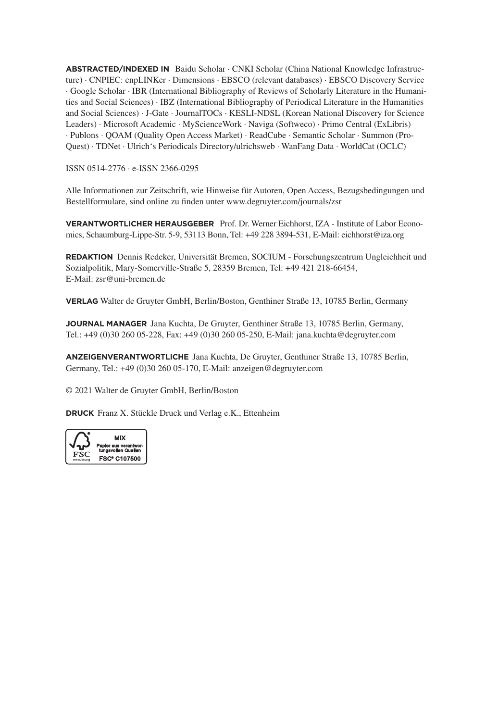**ABSTRACTED/INDEXED IN** Baidu Scholar · CNKI Scholar (China National Knowledge Infrastructure) · CNPIEC: cnpLINKer · Dimensions · EBSCO (relevant databases) · EBSCO Discovery Service · Google Scholar · IBR (International Bibliography of Reviews of Scholarly Literature in the Humanities and Social Sciences) · IBZ (International Bibliography of Periodical Literature in the Humanities and Social Sciences) · J-Gate · JournalTOCs · KESLI-NDSL (Korean National Discovery for Science Leaders) · Microsoft Academic · MyScienceWork · Naviga (Softweco) · Primo Central (ExLibris) · Publons · QOAM (Quality Open Access Market) · ReadCube · Semantic Scholar · Summon (Pro-Quest) · TDNet · Ulrich's Periodicals Directory/ulrichsweb · WanFang Data · WorldCat (OCLC)

ISSN 0514-2776 ∙ e-ISSN 2366-0295

Alle Informationen zur Zeitschrift, wie Hinweise für Autoren, Open Access, Bezugsbedingungen und Bestellformulare, sind online zu finden unter www.degruyter.com/journals/zsr

**VERANTWORTLICHER HERAUSGEBER** Prof. Dr. Werner Eichhorst, IZA - Institute of Labor Economics, Schaumburg-Lippe-Str. 5-9, 53113 Bonn, Tel: +49 228 3894-531, E-Mail: eichhorst@iza.org

**REDAKTION** Dennis Redeker, Universität Bremen, SOCIUM - Forschungszentrum Ungleichheit und Sozialpolitik, Mary-Somerville-Straße 5, 28359 Bremen, Tel: +49 421 218-66454, E-Mail: zsr@uni-bremen.de

**VERLAG** Walter de Gruyter GmbH, Berlin/Boston, Genthiner Straße 13, 10785 Berlin, Germany

**JOURNAL MANAGER** Jana Kuchta, De Gruyter, Genthiner Straße 13, 10785 Berlin, Germany, Tel.: +49 (0)30 260 05-228, Fax: +49 (0)30 260 05-250, E-Mail: jana.kuchta@degruyter.com

**ANZEIGENVERANTWORTLICHE** Jana Kuchta, De Gruyter, Genthiner Straße 13, 10785 Berlin, Germany, Tel.: +49 (0)30 260 05-170, E-Mail: anzeigen@degruyter.com

© 2021 Walter de Gruyter GmbH, Berlin/Boston

**DRUCK** Franz X. Stückle Druck und Verlag e.K., Ettenheim